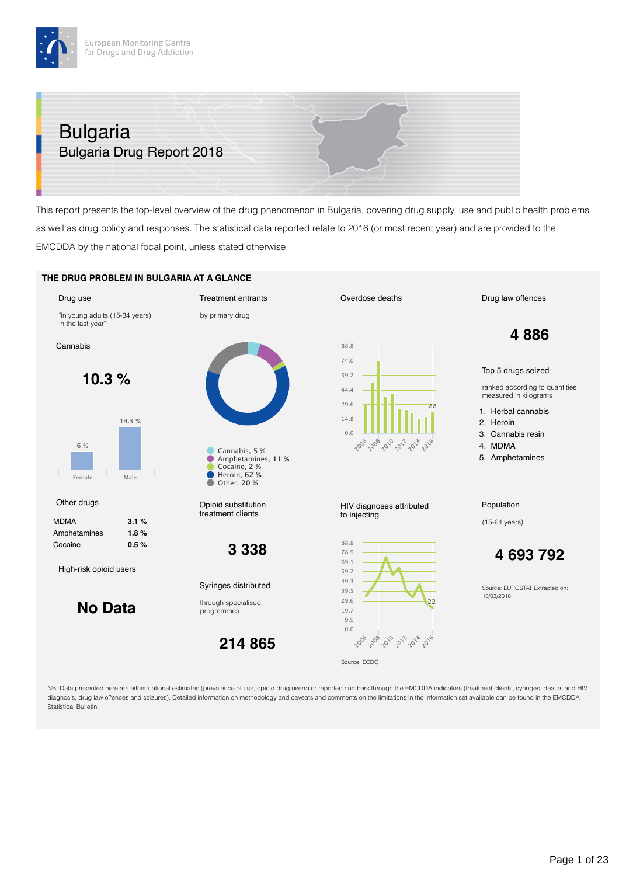# Bulgaria Bulgaria Drug Report 2018

This report presents the top-level overview of the drug phenomenon in Bulgaria, covering drug supply, use and public health problems as well as drug policy and responses. The statistical data reported relate to 2016 (or most recent year) and are provided to the EMCDDA by the national focal point, unless stated otherwise.

#### **THE DRUG PROBLEM IN BULGARIA AT A GLANCE**



NB: Data presented here are either national estimates (prevalence of use, opioid drug users) or reported numbers through the EMCDDA indicators (treatment clients, syringes, deaths and HIV diagnosis, drug law o?ences and seizures). Detailed information on methodology and caveats and comments on the limitations in the information set available can be found in the EMCDDA Statistical Bulletin.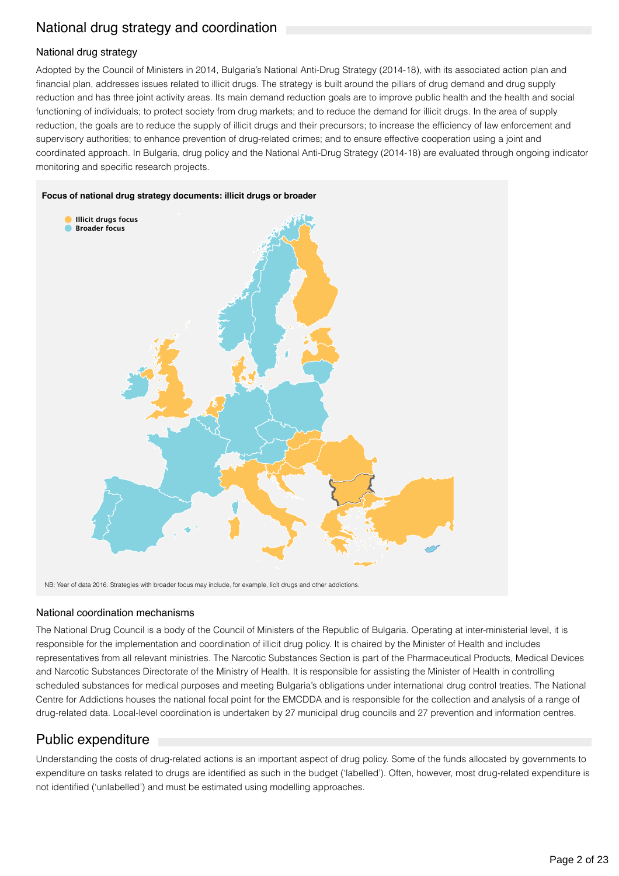## National drug strategy and coordination

## National drug strategy

Adopted by the Council of Ministers in 2014, Bulgaria's National Anti-Drug Strategy (2014-18), with its associated action plan and financial plan, addresses issues related to illicit drugs. The strategy is built around the pillars of drug demand and drug supply reduction and has three joint activity areas. Its main demand reduction goals are to improve public health and the health and social functioning of individuals; to protect society from drug markets; and to reduce the demand for illicit drugs. In the area of supply reduction, the goals are to reduce the supply of illicit drugs and their precursors; to increase the efficiency of law enforcement and supervisory authorities; to enhance prevention of drug-related crimes; and to ensure effective cooperation using a joint and coordinated approach. In Bulgaria, drug policy and the National Anti-Drug Strategy (2014-18) are evaluated through ongoing indicator monitoring and specific research projects.



NB: Year of data 2016. Strategies with broader focus may include, for example, licit drugs and other addictions.

## National coordination mechanisms

The National Drug Council is a body of the Council of Ministers of the Republic of Bulgaria. Operating at inter-ministerial level, it is responsible for the implementation and coordination of illicit drug policy. It is chaired by the Minister of Health and includes representatives from all relevant ministries. The Narcotic Substances Section is part of the Pharmaceutical Products, Medical Devices and Narcotic Substances Directorate of the Ministry of Health. It is responsible for assisting the Minister of Health in controlling scheduled substances for medical purposes and meeting Bulgaria's obligations under international drug control treaties. The National Centre for Addictions houses the national focal point for the EMCDDA and is responsible for the collection and analysis of a range of drug-related data. Local-level coordination is undertaken by 27 municipal drug councils and 27 prevention and information centres.

## Public expenditure

Understanding the costs of drug-related actions is an important aspect of drug policy. Some of the funds allocated by governments to expenditure on tasks related to drugs are identified as such in the budget ('labelled'). Often, however, most drug-related expenditure is not identified ('unlabelled') and must be estimated using modelling approaches.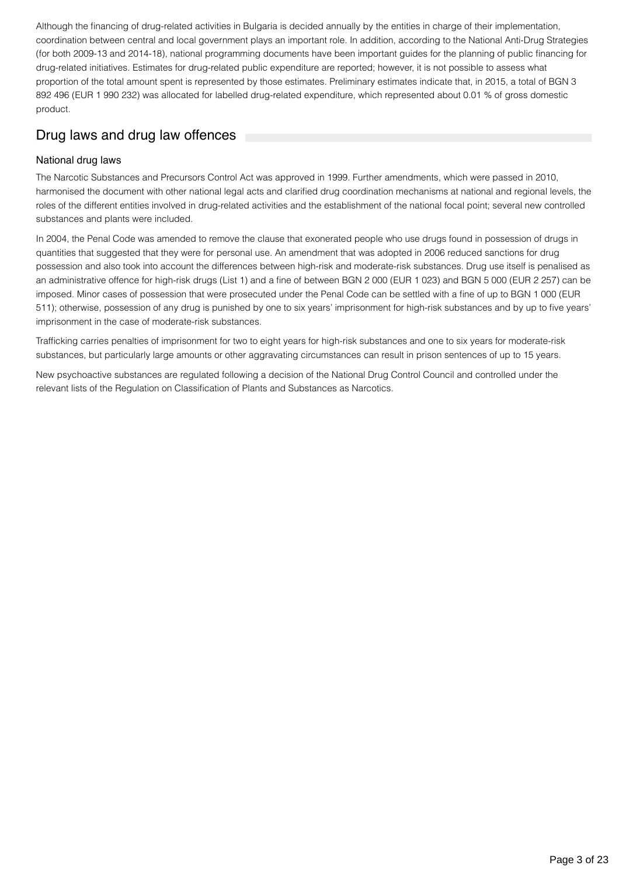Although the financing of drug-related activities in Bulgaria is decided annually by the entities in charge of their implementation, coordination between central and local government plays an important role. In addition, according to the National Anti-Drug Strategies (for both 2009-13 and 2014-18), national programming documents have been important guides for the planning of public financing for drug-related initiatives. Estimates for drug-related public expenditure are reported; however, it is not possible to assess what proportion of the total amount spent is represented by those estimates. Preliminary estimates indicate that, in 2015, a total of BGN 3 892 496 (EUR 1 990 232) was allocated for labelled drug-related expenditure, which represented about 0.01 % of gross domestic product.

## Drug laws and drug law offences

## National drug laws

The Narcotic Substances and Precursors Control Act was approved in 1999. Further amendments, which were passed in 2010, harmonised the document with other national legal acts and clarified drug coordination mechanisms at national and regional levels, the roles of the different entities involved in drug-related activities and the establishment of the national focal point; several new controlled substances and plants were included.

In 2004, the Penal Code was amended to remove the clause that exonerated people who use drugs found in possession of drugs in quantities that suggested that they were for personal use. An amendment that was adopted in 2006 reduced sanctions for drug possession and also took into account the differences between high-risk and moderate-risk substances. Drug use itself is penalised as an administrative offence for high-risk drugs (List 1) and a fine of between BGN 2 000 (EUR 1 023) and BGN 5 000 (EUR 2 257) can be imposed. Minor cases of possession that were prosecuted under the Penal Code can be settled with a fine of up to BGN 1 000 (EUR 511); otherwise, possession of any drug is punished by one to six years' imprisonment for high-risk substances and by up to five years' imprisonment in the case of moderate-risk substances.

Trafficking carries penalties of imprisonment for two to eight years for high-risk substances and one to six years for moderate-risk substances, but particularly large amounts or other aggravating circumstances can result in prison sentences of up to 15 years.

New psychoactive substances are regulated following a decision of the National Drug Control Council and controlled under the relevant lists of the Regulation on Classification of Plants and Substances as Narcotics.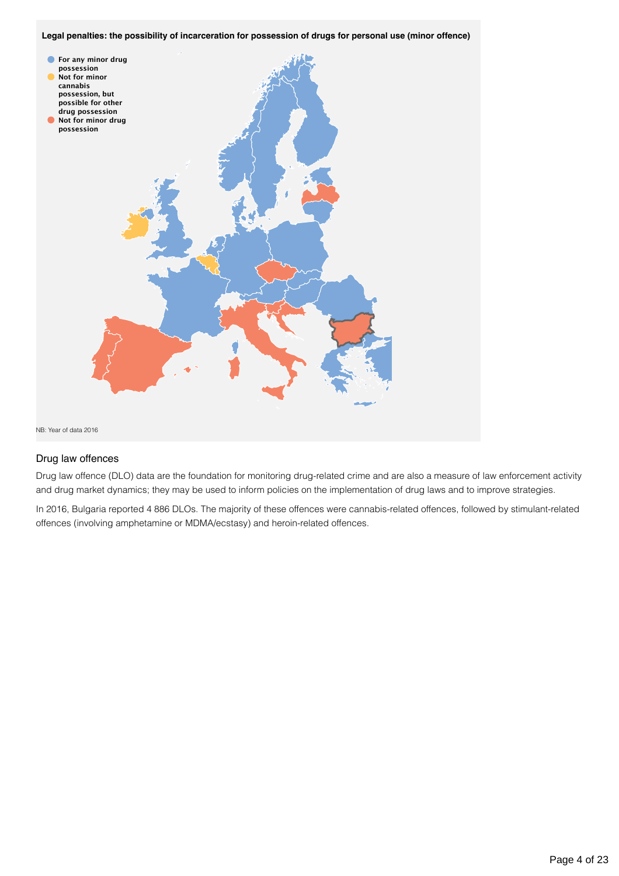**Legal penalties: the possibility of incarceration for possession of drugs for personal use (minor offence)**



### Drug law offences

Drug law offence (DLO) data are the foundation for monitoring drug-related crime and are also a measure of law enforcement activity and drug market dynamics; they may be used to inform policies on the implementation of drug laws and to improve strategies.

In 2016, Bulgaria reported 4 886 DLOs. The majority of these offences were cannabis-related offences, followed by stimulant-related offences (involving amphetamine or MDMA/ecstasy) and heroin-related offences.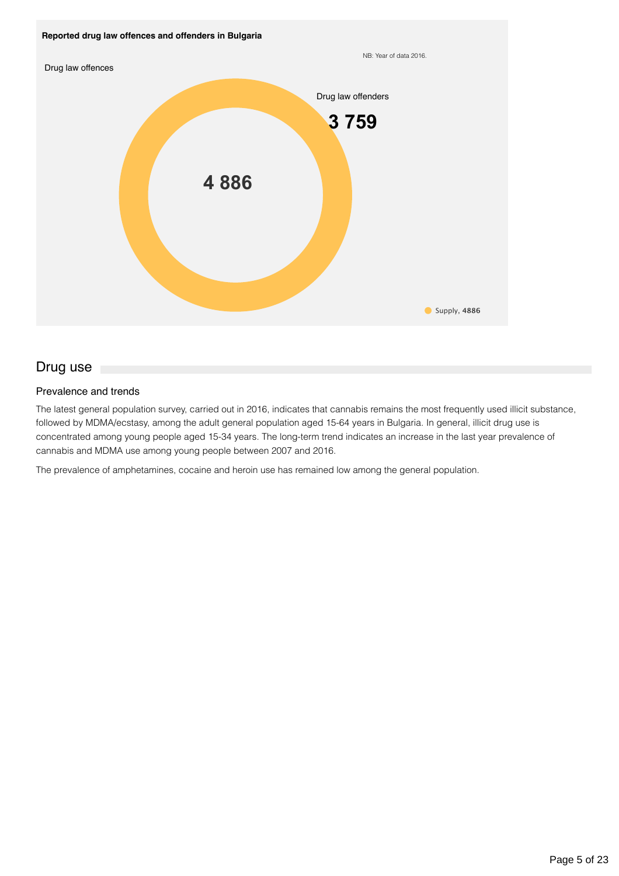

## Drug use

## Prevalence and trends

The latest general population survey, carried out in 2016, indicates that cannabis remains the most frequently used illicit substance, followed by MDMA/ecstasy, among the adult general population aged 15-64 years in Bulgaria. In general, illicit drug use is concentrated among young people aged 15-34 years. The long-term trend indicates an increase in the last year prevalence of cannabis and MDMA use among young people between 2007 and 2016.

The prevalence of amphetamines, cocaine and heroin use has remained low among the general population.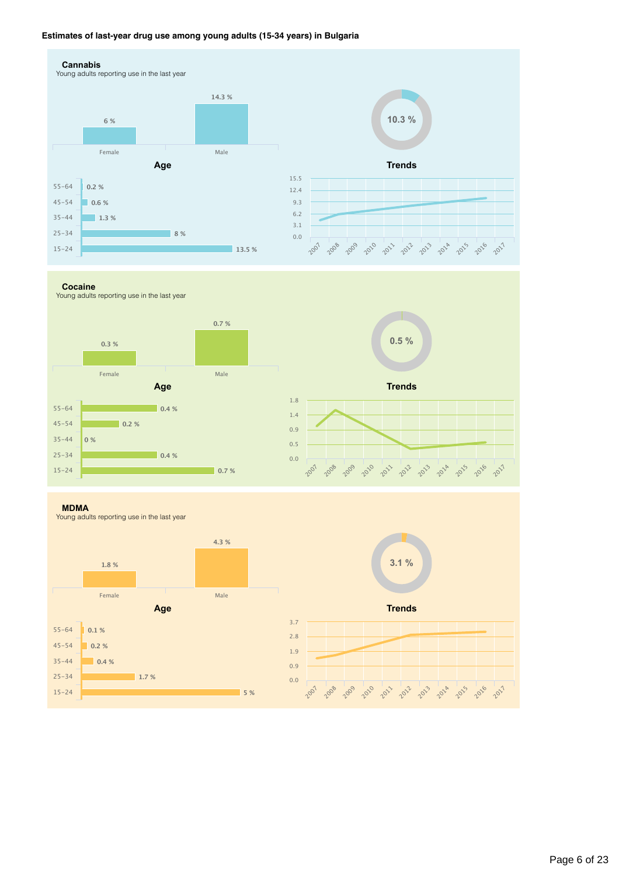### **Estimates of last-year drug use among young adults (15-34 years) in Bulgaria**



**Cocaine**

Young adults reporting use in the last year



**MDMA**

Young adults reporting use in the last year



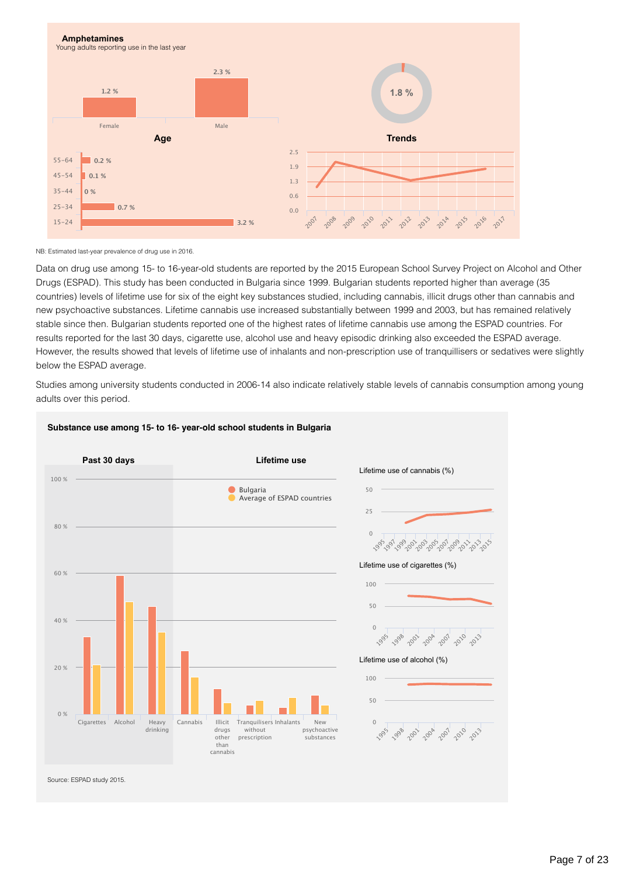

NB: Estimated last-year prevalence of drug use in 2016.

Data on drug use among 15- to 16-year-old students are reported by the 2015 European School Survey Project on Alcohol and Other Drugs (ESPAD). This study has been conducted in Bulgaria since 1999. Bulgarian students reported higher than average (35 countries) levels of lifetime use for six of the eight key substances studied, including cannabis, illicit drugs other than cannabis and new psychoactive substances. Lifetime cannabis use increased substantially between 1999 and 2003, but has remained relatively stable since then. Bulgarian students reported one of the highest rates of lifetime cannabis use among the ESPAD countries. For results reported for the last 30 days, cigarette use, alcohol use and heavy episodic drinking also exceeded the ESPAD average. However, the results showed that levels of lifetime use of inhalants and non-prescription use of tranquillisers or sedatives were slightly below the ESPAD average.

Studies among university students conducted in 2006-14 also indicate relatively stable levels of cannabis consumption among young adults over this period.



#### **Substance use among 15- to 16- year-old school students in Bulgaria**

Source: ESPAD study 2015.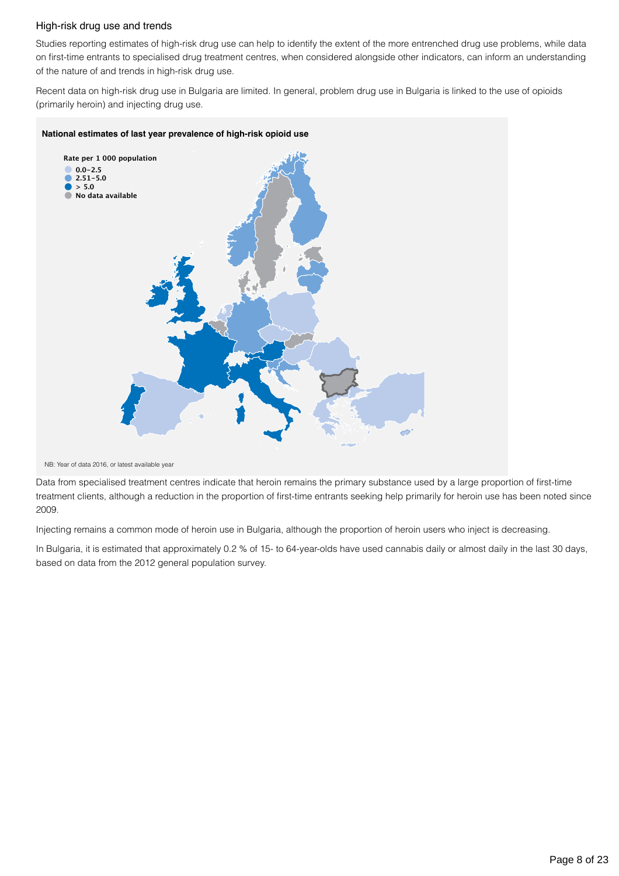### High-risk drug use and trends

Studies reporting estimates of high-risk drug use can help to identify the extent of the more entrenched drug use problems, while data on first-time entrants to specialised drug treatment centres, when considered alongside other indicators, can inform an understanding of the nature of and trends in high-risk drug use.

Recent data on high-risk drug use in Bulgaria are limited. In general, problem drug use in Bulgaria is linked to the use of opioids (primarily heroin) and injecting drug use.

#### **National estimates of last year prevalence of high-risk opioid use**



NB: Year of data 2016, or latest available year

Data from specialised treatment centres indicate that heroin remains the primary substance used by a large proportion of first-time treatment clients, although a reduction in the proportion of first-time entrants seeking help primarily for heroin use has been noted since 2009.

Injecting remains a common mode of heroin use in Bulgaria, although the proportion of heroin users who inject is decreasing.

In Bulgaria, it is estimated that approximately 0.2 % of 15- to 64-year-olds have used cannabis daily or almost daily in the last 30 days, based on data from the 2012 general population survey.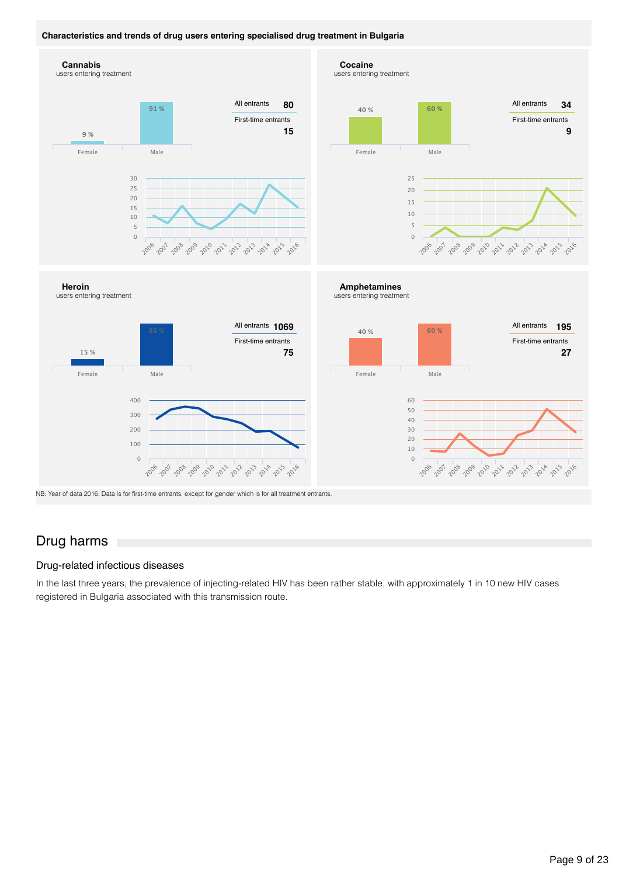### **Characteristics and trends of drug users entering specialised drug treatment in Bulgaria**







2009 2012 2012 2013

All entrants First-time entrants

All entrants

NB: Year of data 2016. Data is for first-time entrants, except for gender which is for all treatment entrants.

## Drug harms

#### Drug-related infectious diseases

In the last three years, the prevalence of injecting-related HIV has been rather stable, with approximately 1 in 10 new HIV cases registered in Bulgaria associated with this transmission route.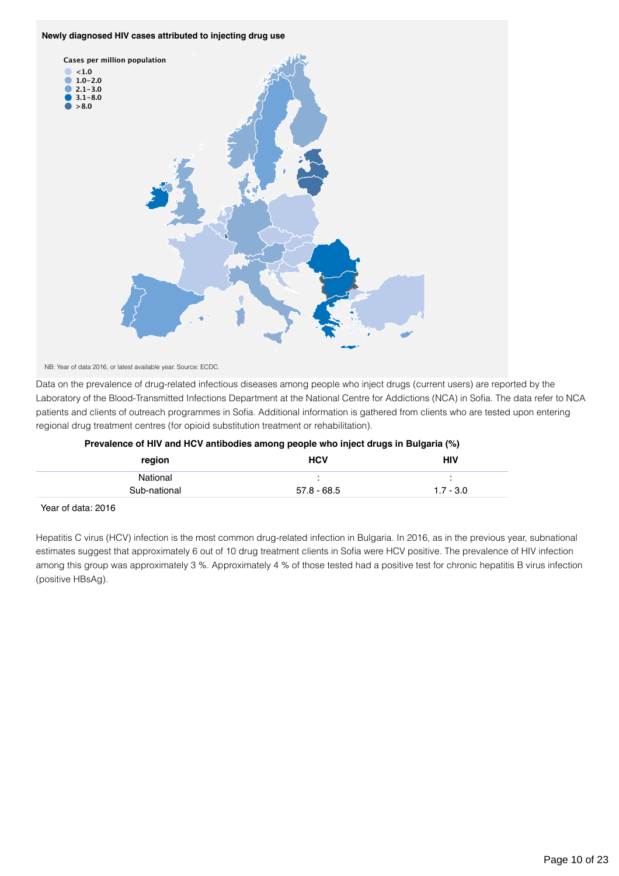#### **Newly diagnosed HIV cases attributed to injecting drug use**



NB: Year of data 2016, or latest available year. Source: ECDC.

Data on the prevalence of drug-related infectious diseases among people who inject drugs (current users) are reported by the Laboratory of the Blood-Transmitted Infections Department at the National Centre for Addictions (NCA) in Sofia. The data refer to NCA patients and clients of outreach programmes in Sofia. Additional information is gathered from clients who are tested upon entering regional drug treatment centres (for opioid substitution treatment or rehabilitation).

| region       | <b>HCV</b>    | HIV         |  |
|--------------|---------------|-------------|--|
| National     |               |             |  |
| Sub-national | $57.8 - 68.5$ | $1.7 - 3.0$ |  |
|              |               |             |  |

### **Prevalence of HIV and HCV antibodies among people who inject drugs in Bulgaria (%)**

Year of data: 2016

Hepatitis C virus (HCV) infection is the most common drug-related infection in Bulgaria. In 2016, as in the previous year, subnational estimates suggest that approximately 6 out of 10 drug treatment clients in Sofia were HCV positive. The prevalence of HIV infection among this group was approximately 3 %. Approximately 4 % of those tested had a positive test for chronic hepatitis B virus infection (positive HBsAg).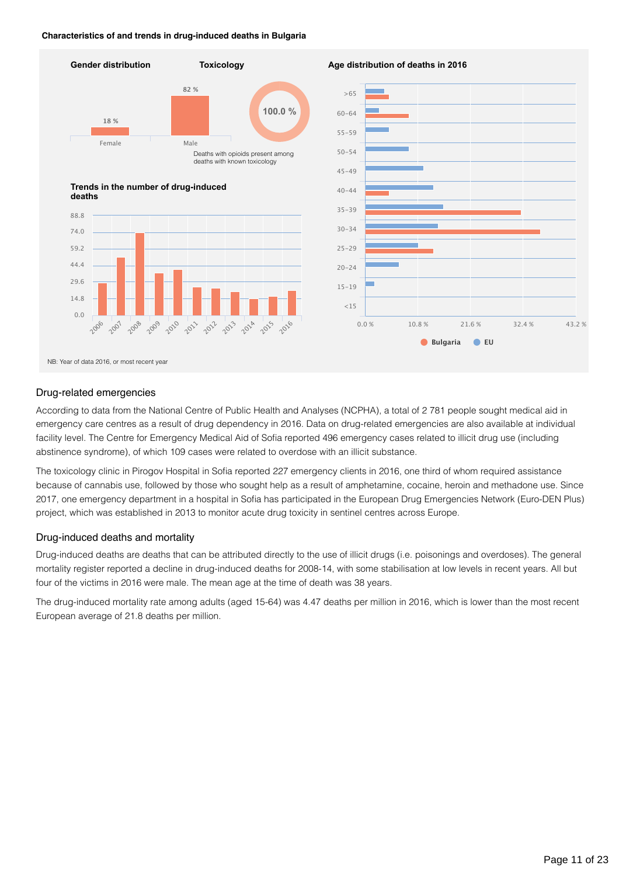#### **Characteristics of and trends in drug-induced deaths in Bulgaria**



### Drug-related emergencies

According to data from the National Centre of Public Health and Analyses (NCPHA), a total of 2 781 people sought medical aid in emergency care centres as a result of drug dependency in 2016. Data on drug-related emergencies are also available at individual facility level. The Centre for Emergency Medical Aid of Sofia reported 496 emergency cases related to illicit drug use (including abstinence syndrome), of which 109 cases were related to overdose with an illicit substance.

The toxicology clinic in Pirogov Hospital in Sofia reported 227 emergency clients in 2016, one third of whom required assistance because of cannabis use, followed by those who sought help as a result of amphetamine, cocaine, heroin and methadone use. Since 2017, one emergency department in a hospital in Sofia has participated in the European Drug Emergencies Network (Euro-DEN Plus) project, which was established in 2013 to monitor acute drug toxicity in sentinel centres across Europe.

### Drug-induced deaths and mortality

Drug-induced deaths are deaths that can be attributed directly to the use of illicit drugs (i.e. poisonings and overdoses). The general mortality register reported a decline in drug-induced deaths for 2008-14, with some stabilisation at low levels in recent years. All but four of the victims in 2016 were male. The mean age at the time of death was 38 years.

The drug-induced mortality rate among adults (aged 15-64) was 4.47 deaths per million in 2016, which is lower than the most recent European average of 21.8 deaths per million.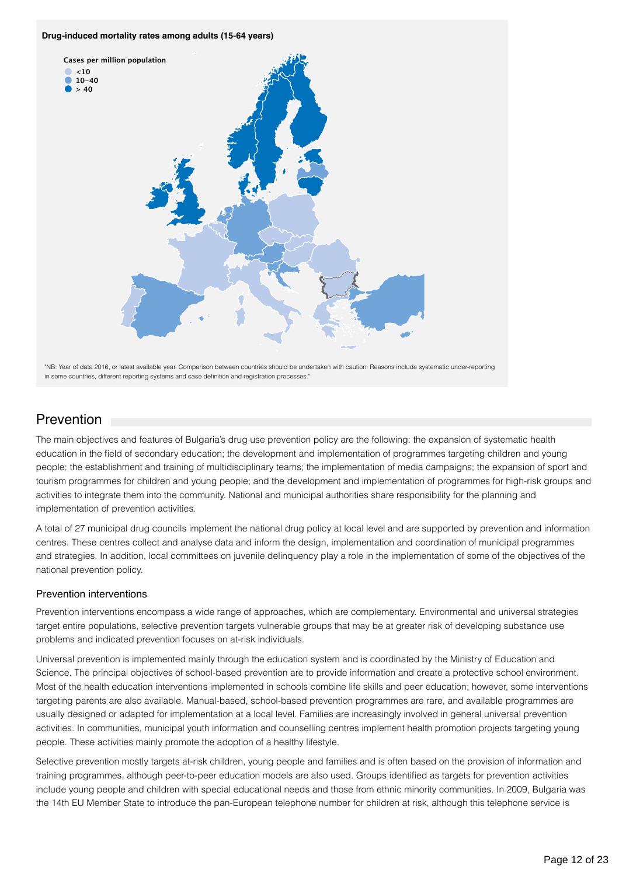#### **Drug-induced mortality rates among adults (15-64 years)**



"NB: Year of data 2016, or latest available year. Comparison between countries should be undertaken with caution. Reasons include systematic under-reporting in some countries, different reporting systems and case definition and registration processes."

## **Prevention**

The main objectives and features of Bulgaria's drug use prevention policy are the following: the expansion of systematic health education in the field of secondary education; the development and implementation of programmes targeting children and young people; the establishment and training of multidisciplinary teams; the implementation of media campaigns; the expansion of sport and tourism programmes for children and young people; and the development and implementation of programmes for high-risk groups and activities to integrate them into the community. National and municipal authorities share responsibility for the planning and implementation of prevention activities.

A total of 27 municipal drug councils implement the national drug policy at local level and are supported by prevention and information centres. These centres collect and analyse data and inform the design, implementation and coordination of municipal programmes and strategies. In addition, local committees on juvenile delinquency play a role in the implementation of some of the objectives of the national prevention policy.

## Prevention interventions

Prevention interventions encompass a wide range of approaches, which are complementary. Environmental and universal strategies target entire populations, selective prevention targets vulnerable groups that may be at greater risk of developing substance use problems and indicated prevention focuses on at-risk individuals.

Universal prevention is implemented mainly through the education system and is coordinated by the Ministry of Education and Science. The principal objectives of school-based prevention are to provide information and create a protective school environment. Most of the health education interventions implemented in schools combine life skills and peer education; however, some interventions targeting parents are also available. Manual-based, school-based prevention programmes are rare, and available programmes are usually designed or adapted for implementation at a local level. Families are increasingly involved in general universal prevention activities. In communities, municipal youth information and counselling centres implement health promotion projects targeting young people. These activities mainly promote the adoption of a healthy lifestyle.

Selective prevention mostly targets at-risk children, young people and families and is often based on the provision of information and training programmes, although peer-to-peer education models are also used. Groups identified as targets for prevention activities include young people and children with special educational needs and those from ethnic minority communities. In 2009, Bulgaria was the 14th EU Member State to introduce the pan-European telephone number for children at risk, although this telephone service is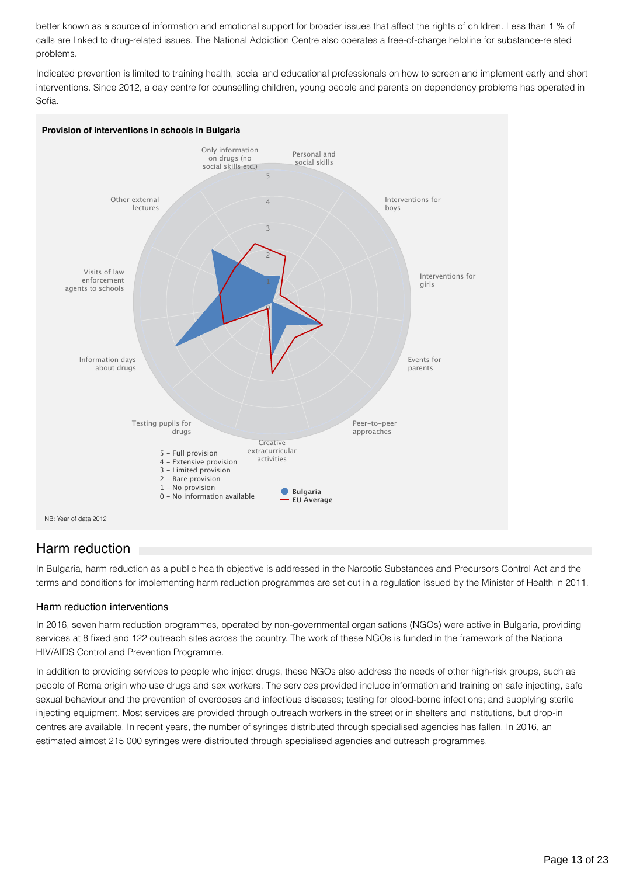better known as a source of information and emotional support for broader issues that affect the rights of children. Less than 1 % of calls are linked to drug-related issues. The National Addiction Centre also operates a free-of-charge helpline for substance-related problems.

Indicated prevention is limited to training health, social and educational professionals on how to screen and implement early and short interventions. Since 2012, a day centre for counselling children, young people and parents on dependency problems has operated in Sofia.



## Harm reduction

In Bulgaria, harm reduction as a public health objective is addressed in the Narcotic Substances and Precursors Control Act and the terms and conditions for implementing harm reduction programmes are set out in a regulation issued by the Minister of Health in 2011.

## Harm reduction interventions

In 2016, seven harm reduction programmes, operated by non-governmental organisations (NGOs) were active in Bulgaria, providing services at 8 fixed and 122 outreach sites across the country. The work of these NGOs is funded in the framework of the National HIV/AIDS Control and Prevention Programme.

In addition to providing services to people who inject drugs, these NGOs also address the needs of other high-risk groups, such as people of Roma origin who use drugs and sex workers. The services provided include information and training on safe injecting, safe sexual behaviour and the prevention of overdoses and infectious diseases; testing for blood-borne infections; and supplying sterile injecting equipment. Most services are provided through outreach workers in the street or in shelters and institutions, but drop-in centres are available. In recent years, the number of syringes distributed through specialised agencies has fallen. In 2016, an estimated almost 215 000 syringes were distributed through specialised agencies and outreach programmes.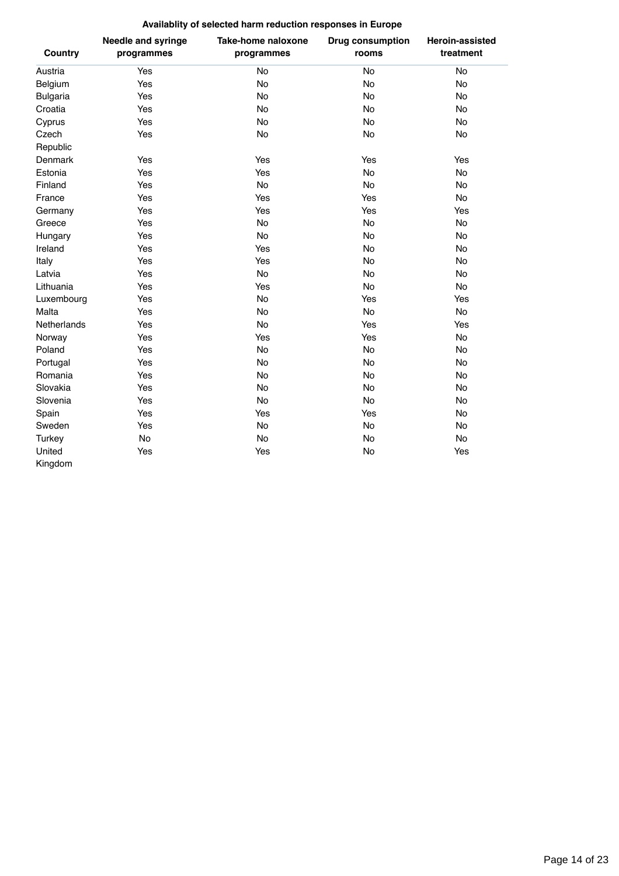## **Availablity of selected harm reduction responses in Europe**

| <b>Country</b>  | <b>Needle and syringe</b><br>programmes | <b>Take-home naloxone</b><br>programmes | <b>Drug consumption</b><br>rooms | <b>Heroin-assisted</b><br>treatment |
|-----------------|-----------------------------------------|-----------------------------------------|----------------------------------|-------------------------------------|
| Austria         | Yes                                     | No                                      | No                               | No                                  |
| Belgium         | Yes                                     | No                                      | No                               | No                                  |
| <b>Bulgaria</b> | Yes                                     | No                                      | No                               | <b>No</b>                           |
| Croatia         | Yes                                     | No                                      | No                               | No                                  |
| Cyprus          | Yes                                     | No                                      | No                               | No                                  |
| Czech           | Yes                                     | No                                      | No                               | No                                  |
| Republic        |                                         |                                         |                                  |                                     |
| Denmark         | Yes                                     | Yes                                     | Yes                              | Yes                                 |
| Estonia         | Yes                                     | Yes                                     | No                               | No                                  |
| Finland         | Yes                                     | No                                      | No                               | No                                  |
| France          | Yes                                     | Yes                                     | Yes                              | No                                  |
| Germany         | Yes                                     | Yes                                     | Yes                              | Yes                                 |
| Greece          | Yes                                     | <b>No</b>                               | No                               | No                                  |
| Hungary         | Yes                                     | No                                      | No                               | No                                  |
| Ireland         | Yes                                     | Yes                                     | No                               | No                                  |
| Italy           | Yes                                     | Yes                                     | <b>No</b>                        | <b>No</b>                           |
| Latvia          | Yes                                     | <b>No</b>                               | <b>No</b>                        | No                                  |
| Lithuania       | Yes                                     | Yes                                     | No                               | No                                  |
| Luxembourg      | Yes                                     | No                                      | Yes                              | Yes                                 |
| Malta           | Yes                                     | No                                      | No                               | No                                  |
| Netherlands     | Yes                                     | No                                      | Yes                              | Yes                                 |
| Norway          | Yes                                     | Yes                                     | Yes                              | No                                  |
| Poland          | Yes                                     | <b>No</b>                               | No                               | No                                  |
| Portugal        | Yes                                     | No                                      | <b>No</b>                        | No                                  |
| Romania         | Yes                                     | No                                      | No                               | No                                  |
| Slovakia        | Yes                                     | No                                      | No                               | No                                  |
| Slovenia        | Yes                                     | No                                      | No                               | No                                  |
| Spain           | Yes                                     | Yes                                     | Yes                              | No                                  |
| Sweden          | Yes                                     | No                                      | No                               | No                                  |
| <b>Turkey</b>   | No                                      | <b>No</b>                               | <b>No</b>                        | <b>No</b>                           |
| United          | Yes                                     | Yes                                     | No                               | Yes                                 |
| Kingdom         |                                         |                                         |                                  |                                     |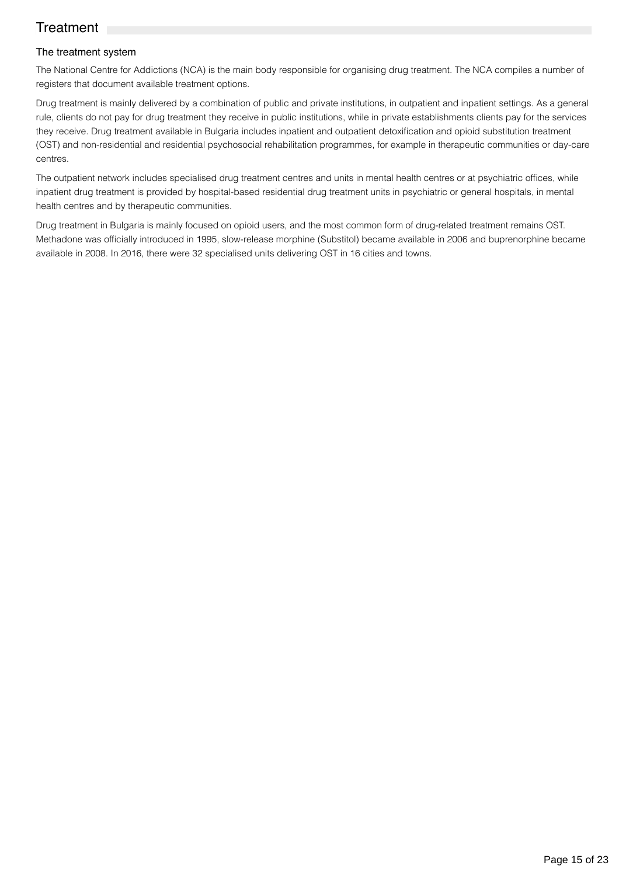## **Treatment**

## The treatment system

The National Centre for Addictions (NCA) is the main body responsible for organising drug treatment. The NCA compiles a number of registers that document available treatment options.

Drug treatment is mainly delivered by a combination of public and private institutions, in outpatient and inpatient settings. As a general rule, clients do not pay for drug treatment they receive in public institutions, while in private establishments clients pay for the services they receive. Drug treatment available in Bulgaria includes inpatient and outpatient detoxification and opioid substitution treatment (OST) and non-residential and residential psychosocial rehabilitation programmes, for example in therapeutic communities or day-care centres.

The outpatient network includes specialised drug treatment centres and units in mental health centres or at psychiatric offices, while inpatient drug treatment is provided by hospital-based residential drug treatment units in psychiatric or general hospitals, in mental health centres and by therapeutic communities.

Drug treatment in Bulgaria is mainly focused on opioid users, and the most common form of drug-related treatment remains OST. Methadone was officially introduced in 1995, slow-release morphine (Substitol) became available in 2006 and buprenorphine became available in 2008. In 2016, there were 32 specialised units delivering OST in 16 cities and towns.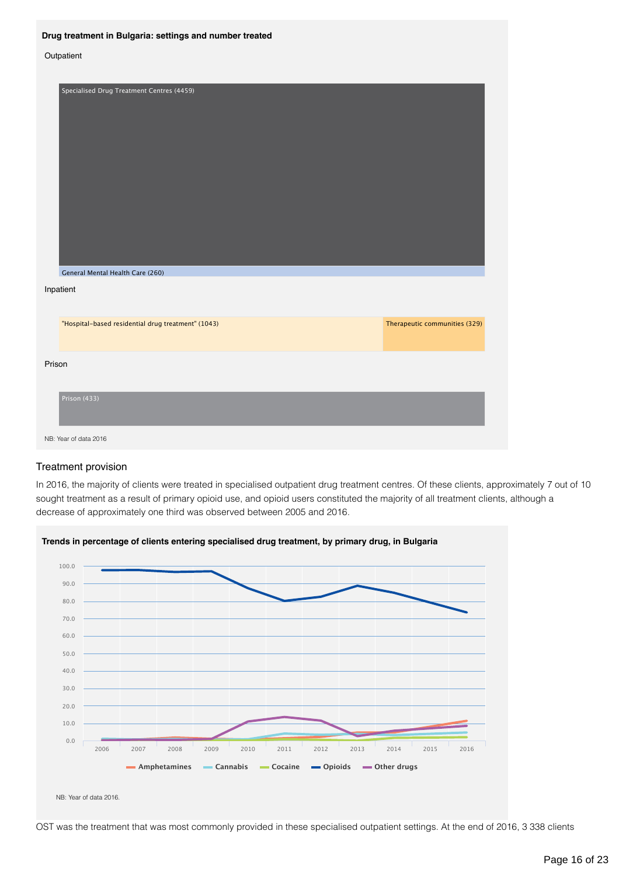#### **Drug treatment in Bulgaria: settings and number treated**

#### **Outpatient**

| Specialised Drug Treatment Centres (4459)<br>General Mental Health Care (260) |                               |
|-------------------------------------------------------------------------------|-------------------------------|
| Inpatient                                                                     |                               |
| "Hospital-based residential drug treatment" (1043)                            | Therapeutic communities (329) |
| Prison                                                                        |                               |
| Prison (433)                                                                  |                               |
| NB: Year of data 2016                                                         |                               |

### Treatment provision

In 2016, the majority of clients were treated in specialised outpatient drug treatment centres. Of these clients, approximately 7 out of 10 sought treatment as a result of primary opioid use, and opioid users constituted the majority of all treatment clients, although a decrease of approximately one third was observed between 2005 and 2016.



**Trends in percentage of clients entering specialised drug treatment, by primary drug, in Bulgaria**

NB: Year of data 2016.

OST was the treatment that was most commonly provided in these specialised outpatient settings. At the end of 2016, 3 338 clients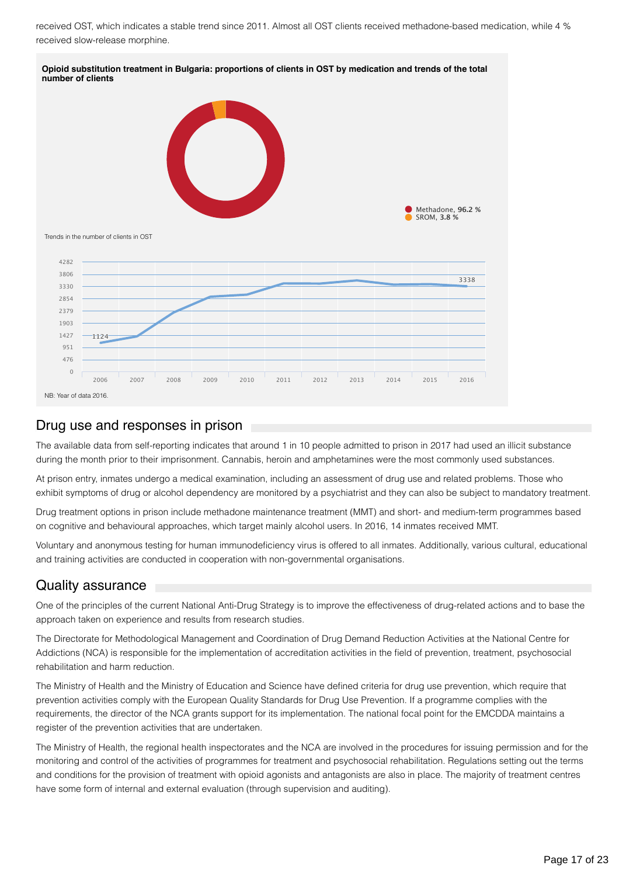received OST, which indicates a stable trend since 2011. Almost all OST clients received methadone-based medication, while 4 % received slow-release morphine.



## Drug use and responses in prison

The available data from self-reporting indicates that around 1 in 10 people admitted to prison in 2017 had used an illicit substance during the month prior to their imprisonment. Cannabis, heroin and amphetamines were the most commonly used substances.

At prison entry, inmates undergo a medical examination, including an assessment of drug use and related problems. Those who exhibit symptoms of drug or alcohol dependency are monitored by a psychiatrist and they can also be subject to mandatory treatment.

Drug treatment options in prison include methadone maintenance treatment (MMT) and short- and medium-term programmes based on cognitive and behavioural approaches, which target mainly alcohol users. In 2016, 14 inmates received MMT.

Voluntary and anonymous testing for human immunodeficiency virus is offered to all inmates. Additionally, various cultural, educational and training activities are conducted in cooperation with non-governmental organisations.

## Quality assurance

One of the principles of the current National Anti-Drug Strategy is to improve the effectiveness of drug-related actions and to base the approach taken on experience and results from research studies.

The Directorate for Methodological Management and Coordination of Drug Demand Reduction Activities at the National Centre for Addictions (NCA) is responsible for the implementation of accreditation activities in the field of prevention, treatment, psychosocial rehabilitation and harm reduction.

The Ministry of Health and the Ministry of Education and Science have defined criteria for drug use prevention, which require that prevention activities comply with the European Quality Standards for Drug Use Prevention. If a programme complies with the requirements, the director of the NCA grants support for its implementation. The national focal point for the EMCDDA maintains a register of the prevention activities that are undertaken.

The Ministry of Health, the regional health inspectorates and the NCA are involved in the procedures for issuing permission and for the monitoring and control of the activities of programmes for treatment and psychosocial rehabilitation. Regulations setting out the terms and conditions for the provision of treatment with opioid agonists and antagonists are also in place. The majority of treatment centres have some form of internal and external evaluation (through supervision and auditing).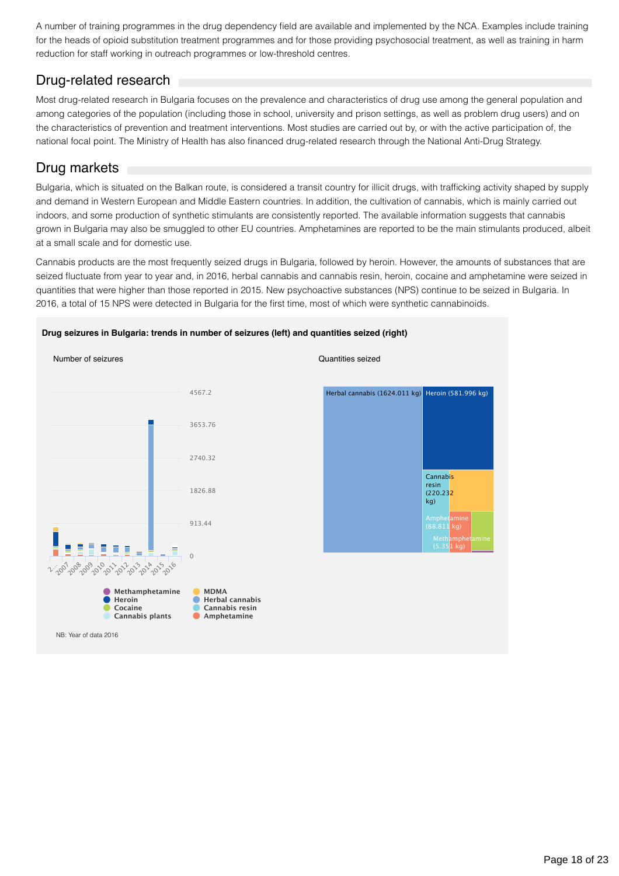A number of training programmes in the drug dependency field are available and implemented by the NCA. Examples include training for the heads of opioid substitution treatment programmes and for those providing psychosocial treatment, as well as training in harm reduction for staff working in outreach programmes or low-threshold centres.

## Drug-related research

Most drug-related research in Bulgaria focuses on the prevalence and characteristics of drug use among the general population and among categories of the population (including those in school, university and prison settings, as well as problem drug users) and on the characteristics of prevention and treatment interventions. Most studies are carried out by, or with the active participation of, the national focal point. The Ministry of Health has also financed drug-related research through the National Anti-Drug Strategy.

## Drug markets

Bulgaria, which is situated on the Balkan route, is considered a transit country for illicit drugs, with trafficking activity shaped by supply and demand in Western European and Middle Eastern countries. In addition, the cultivation of cannabis, which is mainly carried out indoors, and some production of synthetic stimulants are consistently reported. The available information suggests that cannabis grown in Bulgaria may also be smuggled to other EU countries. Amphetamines are reported to be the main stimulants produced, albeit at a small scale and for domestic use.

Cannabis products are the most frequently seized drugs in Bulgaria, followed by heroin. However, the amounts of substances that are seized fluctuate from year to year and, in 2016, herbal cannabis and cannabis resin, heroin, cocaine and amphetamine were seized in quantities that were higher than those reported in 2015. New psychoactive substances (NPS) continue to be seized in Bulgaria. In 2016, a total of 15 NPS were detected in Bulgaria for the first time, most of which were synthetic cannabinoids.



#### **Drug seizures in Bulgaria: trends in number of seizures (left) and quantities seized (right)**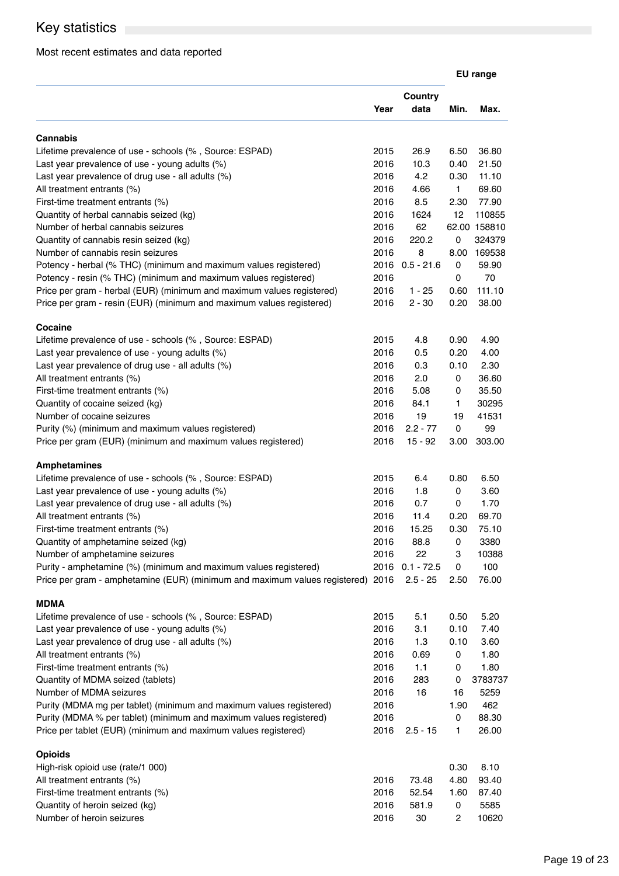## Key statistics **Exercise Statistics**

## Most recent estimates and data reported

|                                                                                                                                                     |              |                            |              | <b>EU</b> range |
|-----------------------------------------------------------------------------------------------------------------------------------------------------|--------------|----------------------------|--------------|-----------------|
|                                                                                                                                                     | Year         | <b>Country</b><br>data     | Min.         | Max.            |
| Cannabis                                                                                                                                            |              |                            |              |                 |
| Lifetime prevalence of use - schools (%, Source: ESPAD)                                                                                             | 2015         | 26.9                       | 6.50         | 36.80           |
| Last year prevalence of use - young adults (%)                                                                                                      | 2016         | 10.3                       | 0.40         | 21.50           |
| Last year prevalence of drug use - all adults $(\%)$                                                                                                | 2016         | 4.2                        | 0.30         | 11.10           |
| All treatment entrants (%)                                                                                                                          | 2016         | 4.66                       | $\mathbf{1}$ | 69.60           |
| First-time treatment entrants (%)                                                                                                                   | 2016         | 8.5                        | 2.30         | 77.90           |
| Quantity of herbal cannabis seized (kg)                                                                                                             | 2016         | 1624                       | 12           | 110855          |
| Number of herbal cannabis seizures                                                                                                                  | 2016         | 62                         |              | 62.00 158810    |
| Quantity of cannabis resin seized (kg)                                                                                                              | 2016         | 220.2                      | 0            | 324379          |
| Number of cannabis resin seizures                                                                                                                   | 2016         | 8                          | 8.00         | 169538          |
| Potency - herbal (% THC) (minimum and maximum values registered)                                                                                    | 2016         | $0.5 - 21.6$               | 0            | 59.90           |
| Potency - resin (% THC) (minimum and maximum values registered)                                                                                     | 2016         |                            | 0            | 70              |
| Price per gram - herbal (EUR) (minimum and maximum values registered)                                                                               | 2016         | $1 - 25$                   | 0.60         | 111.10          |
| Price per gram - resin (EUR) (minimum and maximum values registered)                                                                                | 2016         | $2 - 30$                   | 0.20         | 38.00           |
| <b>Cocaine</b>                                                                                                                                      |              |                            |              |                 |
| Lifetime prevalence of use - schools (%, Source: ESPAD)                                                                                             | 2015         | 4.8                        | 0.90         | 4.90            |
| Last year prevalence of use - young adults (%)                                                                                                      | 2016         | 0.5                        | 0.20         | 4.00            |
| Last year prevalence of drug use - all adults (%)                                                                                                   | 2016         | 0.3                        | 0.10         | 2.30            |
| All treatment entrants (%)                                                                                                                          | 2016         | 2.0                        | 0            | 36.60           |
| First-time treatment entrants (%)                                                                                                                   | 2016         | 5.08                       | 0            | 35.50           |
| Quantity of cocaine seized (kg)                                                                                                                     | 2016         | 84.1                       | 1            | 30295           |
| Number of cocaine seizures                                                                                                                          | 2016         | 19                         | 19           | 41531           |
| Purity (%) (minimum and maximum values registered)<br>Price per gram (EUR) (minimum and maximum values registered)                                  | 2016<br>2016 | $2.2 - 77$<br>$15 - 92$    | 0<br>3.00    | 99<br>303.00    |
|                                                                                                                                                     |              |                            |              |                 |
| <b>Amphetamines</b>                                                                                                                                 |              |                            |              |                 |
| Lifetime prevalence of use - schools (%, Source: ESPAD)                                                                                             | 2015         | 6.4                        | 0.80         | 6.50            |
| Last year prevalence of use - young adults $(\%)$                                                                                                   | 2016         | 1.8                        | 0            | 3.60            |
| Last year prevalence of drug use - all adults $(\%)$                                                                                                | 2016         | 0.7                        | 0            | 1.70            |
| All treatment entrants (%)                                                                                                                          | 2016         | 11.4                       | 0.20         | 69.70           |
| First-time treatment entrants (%)                                                                                                                   | 2016         | 15.25                      | 0.30         | 75.10           |
| Quantity of amphetamine seized (kg)                                                                                                                 | 2016         | 88.8                       | 0            | 3380            |
| Number of amphetamine seizures                                                                                                                      | 2016         | 22                         | 3            | 10388           |
| Purity - amphetamine (%) (minimum and maximum values registered)<br>Price per gram - amphetamine (EUR) (minimum and maximum values registered) 2016 | 2016         | $0.1 - 72.5$<br>$2.5 - 25$ | 0<br>2.50    | 100<br>76.00    |
|                                                                                                                                                     |              |                            |              |                 |
| MDMA                                                                                                                                                |              |                            |              |                 |
| Lifetime prevalence of use - schools (%, Source: ESPAD)                                                                                             | 2015         | 5.1                        | 0.50         | 5.20            |
| Last year prevalence of use - young adults (%)                                                                                                      | 2016<br>2016 | 3.1                        | 0.10         | 7.40            |
| Last year prevalence of drug use - all adults (%)                                                                                                   | 2016         | 1.3<br>0.69                | 0.10<br>0    | 3.60<br>1.80    |
| All treatment entrants (%)<br>First-time treatment entrants (%)                                                                                     | 2016         | 1.1                        | 0            | 1.80            |
| Quantity of MDMA seized (tablets)                                                                                                                   | 2016         | 283                        | 0            | 3783737         |
| Number of MDMA seizures                                                                                                                             | 2016         | 16                         | 16           | 5259            |
| Purity (MDMA mg per tablet) (minimum and maximum values registered)                                                                                 | 2016         |                            | 1.90         | 462             |
| Purity (MDMA % per tablet) (minimum and maximum values registered)                                                                                  | 2016         |                            | 0            | 88.30           |
| Price per tablet (EUR) (minimum and maximum values registered)                                                                                      | 2016         | $2.5 - 15$                 | 1            | 26.00           |
| <b>Opioids</b>                                                                                                                                      |              |                            |              |                 |
| High-risk opioid use (rate/1 000)                                                                                                                   |              |                            | 0.30         | 8.10            |
| All treatment entrants (%)                                                                                                                          | 2016         | 73.48                      | 4.80         | 93.40           |
| First-time treatment entrants (%)                                                                                                                   | 2016         | 52.54                      | 1.60         | 87.40           |
| Quantity of heroin seized (kg)                                                                                                                      | 2016         | 581.9                      | 0            | 5585            |
| Number of heroin seizures                                                                                                                           | 2016         | 30                         | 2            | 10620           |
|                                                                                                                                                     |              |                            |              |                 |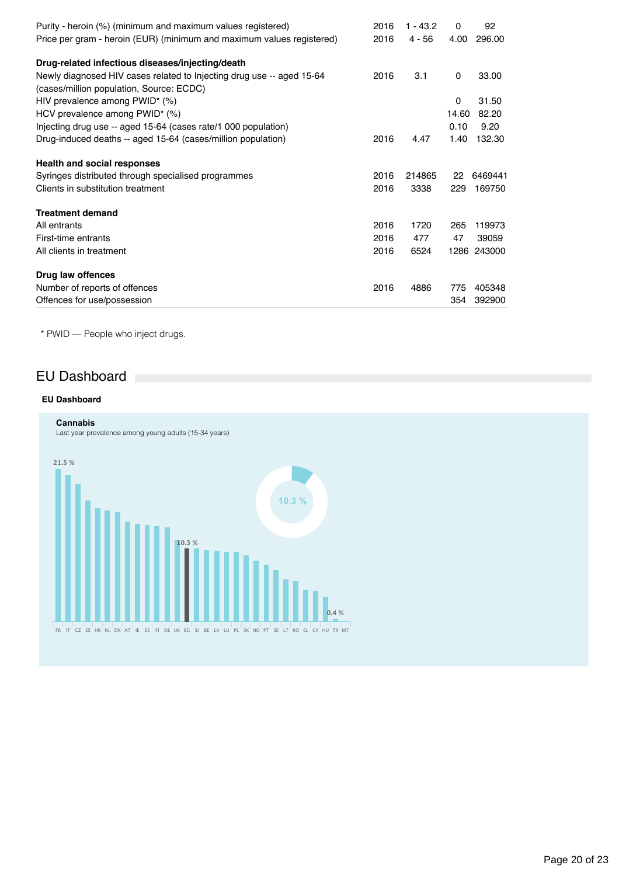| Purity - heroin (%) (minimum and maximum values registered)           | 2016 | $1 - 43.2$ | 0            | 92          |
|-----------------------------------------------------------------------|------|------------|--------------|-------------|
| Price per gram - heroin (EUR) (minimum and maximum values registered) | 2016 | $4 - 56$   | 4.00         | 296.00      |
| Drug-related infectious diseases/injecting/death                      |      |            |              |             |
| Newly diagnosed HIV cases related to Injecting drug use -- aged 15-64 | 2016 | 3.1        | $\mathbf{0}$ | 33.00       |
| (cases/million population, Source: ECDC)                              |      |            |              |             |
| HIV prevalence among PWID* (%)                                        |      |            | 0            | 31.50       |
| HCV prevalence among PWID* (%)                                        |      |            | 14.60        | 82.20       |
| Injecting drug use -- aged 15-64 (cases rate/1 000 population)        |      |            | 0.10         | 9.20        |
| Drug-induced deaths -- aged 15-64 (cases/million population)          | 2016 | 4.47       | 1.40         | 132.30      |
| <b>Health and social responses</b>                                    |      |            |              |             |
| Syringes distributed through specialised programmes                   | 2016 | 214865     | 22           | 6469441     |
| Clients in substitution treatment                                     | 2016 | 3338       | 229          | 169750      |
| <b>Treatment demand</b>                                               |      |            |              |             |
| All entrants                                                          | 2016 | 1720       | 265          | 119973      |
| First-time entrants                                                   | 2016 | 477        | 47           | 39059       |
| All clients in treatment                                              | 2016 | 6524       |              | 1286 243000 |
| Drug law offences                                                     |      |            |              |             |
| Number of reports of offences                                         | 2016 | 4886       | 775          | 405348      |
| Offences for use/possession                                           |      |            | 354          | 392900      |

\* PWID — People who inject drugs.

## EU Dashboard

## **EU Dashboard**

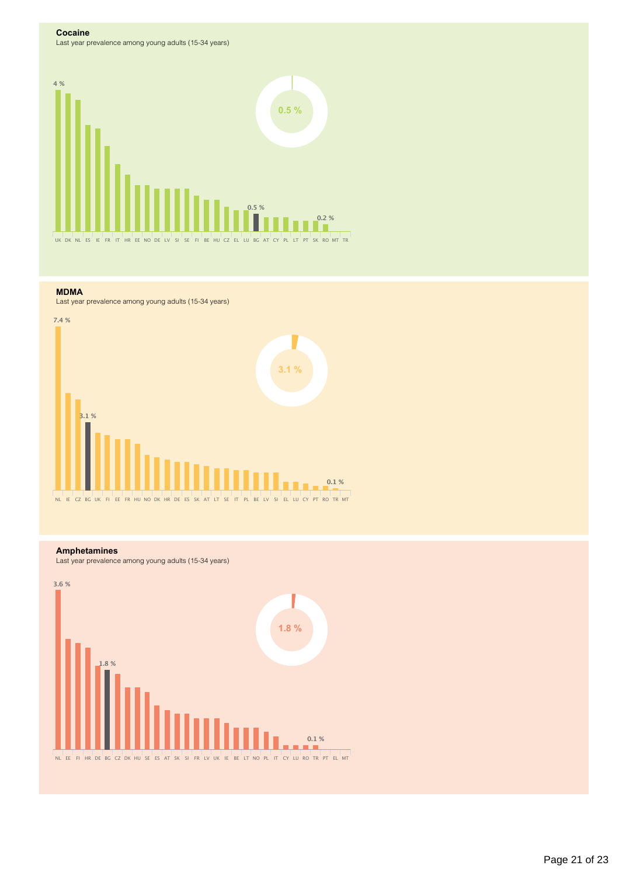#### **Cocaine**

Last year prevalence among young adults (15-34 years)



#### **MDMA**

Last year prevalence among young adults (15-34 years)



### **Amphetamines**

Last year prevalence among young adults (15-34 years)

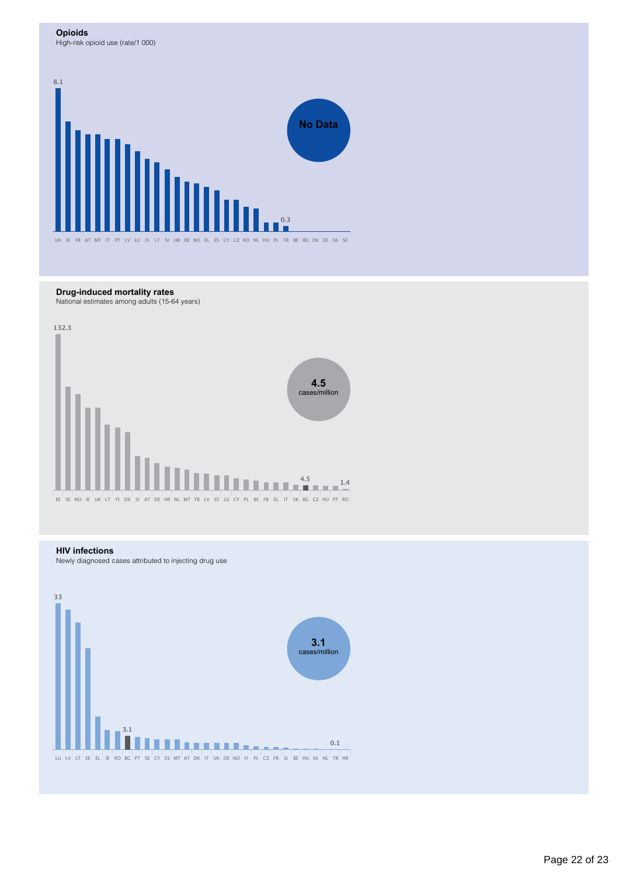#### **Opioids**

High-risk opioid use (rate/1 000)



### **Drug-induced mortality rates**

National estimates among adults (15-64 years)



### **HIV infections**

Newly diagnosed cases attributed to injecting drug use